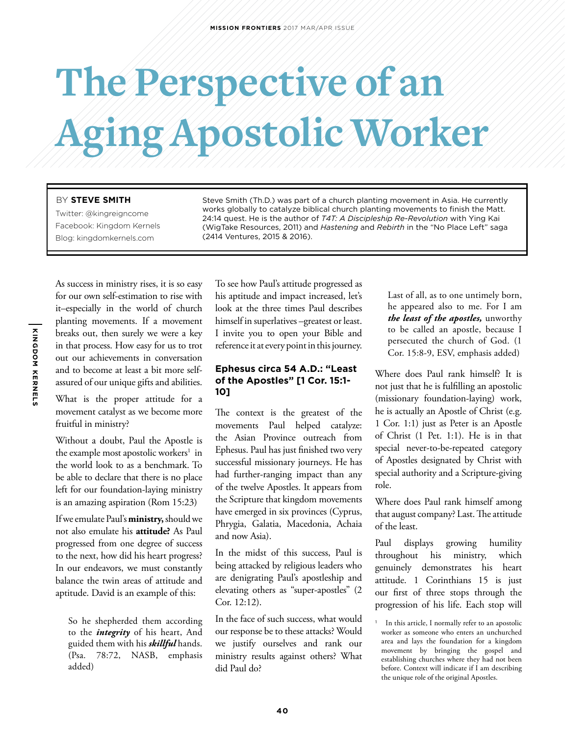# **The Perspective of an Aging Apostolic Worker**

#### BY **STEVE SMITH**

Twitter: @kingreigncome Facebook: Kingdom Kernels Blog: kingdomkernels.com

Steve Smith (Th.D.) was part of a church planting movement in Asia. He currently works globally to catalyze biblical church planting movements to finish the Matt. 24:14 quest. He is the author of *T4T: A Discipleship Re-Revolution* with Ying Kai (WigTake Resources, 2011) and *Hastening* and *Rebirth* in the "No Place Left" saga (2414 Ventures, 2015 & 2016).

As success in ministry rises, it is so easy for our own self-estimation to rise with it–especially in the world of church planting movements. If a movement breaks out, then surely we were a key in that process. How easy for us to trot out our achievements in conversation and to become at least a bit more selfassured of our unique gifts and abilities.

What is the proper attitude for a movement catalyst as we become more fruitful in ministry?

Without a doubt, Paul the Apostle is the example most apostolic workers<sup>1</sup> in the world look to as a benchmark. To be able to declare that there is no place left for our foundation-laying ministry is an amazing aspiration (Rom 15:23)

If we emulate Paul's **ministry,** should we not also emulate his **attitude?** As Paul progressed from one degree of success to the next, how did his heart progress? In our endeavors, we must constantly balance the twin areas of attitude and aptitude. David is an example of this:

So he shepherded them according to the *integrity* of his heart, And guided them with his *skillful* hands. (Psa. 78:72, NASB, emphasis added)

To see how Paul's attitude progressed as his aptitude and impact increased, let's look at the three times Paul describes himself in superlatives –greatest or least. I invite you to open your Bible and reference it at every point in this journey.

### **Ephesus circa 54 A.D.: "Least of the Apostles" [1 Cor. 15:1- 10]**

The context is the greatest of the movements Paul helped catalyze: the Asian Province outreach from Ephesus. Paul has just finished two very successful missionary journeys. He has had further-ranging impact than any of the twelve Apostles. It appears from the Scripture that kingdom movements have emerged in six provinces (Cyprus, Phrygia, Galatia, Macedonia, Achaia and now Asia).

In the midst of this success, Paul is being attacked by religious leaders who are denigrating Paul's apostleship and elevating others as "super-apostles" (2 Cor. 12:12).

In the face of such success, what would our response be to these attacks? Would we justify ourselves and rank our ministry results against others? What did Paul do?

Last of all, as to one untimely born, he appeared also to me. For I am *the least of the apostles,* unworthy to be called an apostle, because I persecuted the church of God. (1 Cor. 15:8-9, ESV, emphasis added)

Where does Paul rank himself? It is not just that he is fulfilling an apostolic (missionary foundation-laying) work, he is actually an Apostle of Christ (e.g. 1 Cor. 1:1) just as Peter is an Apostle of Christ (1 Pet. 1:1). He is in that special never-to-be-repeated category of Apostles designated by Christ with special authority and a Scripture-giving role.

Where does Paul rank himself among that august company? Last. The attitude of the least.

Paul displays growing humility throughout his ministry, which genuinely demonstrates his heart attitude. 1 Corinthians 15 is just our first of three stops through the progression of his life. Each stop will

In this article, I normally refer to an apostolic worker as someone who enters an unchurched area and lays the foundation for a kingdom movement by bringing the gospel and establishing churches where they had not been before. Context will indicate if I am describing the unique role of the original Apostles.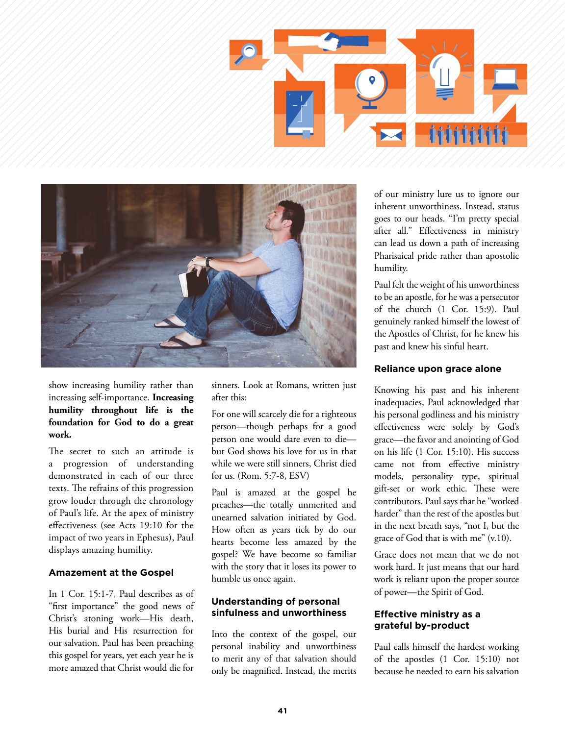



show increasing humility rather than increasing self-importance. **Increasing humility throughout life is the foundation for God to do a great work.**

The secret to such an attitude is a progression of understanding demonstrated in each of our three texts. The refrains of this progression grow louder through the chronology of Paul's life. At the apex of ministry effectiveness (see Acts 19:10 for the impact of two years in Ephesus), Paul displays amazing humility.

#### **Amazement at the Gospel**

In 1 Cor. 15:1-7, Paul describes as of "first importance" the good news of Christ's atoning work—His death, His burial and His resurrection for our salvation. Paul has been preaching this gospel for years, yet each year he is more amazed that Christ would die for

sinners. Look at Romans, written just after this:

For one will scarcely die for a righteous person—though perhaps for a good person one would dare even to die but God shows his love for us in that while we were still sinners, Christ died for us. (Rom. 5:7-8, ESV)

Paul is amazed at the gospel he preaches—the totally unmerited and unearned salvation initiated by God. How often as years tick by do our hearts become less amazed by the gospel? We have become so familiar with the story that it loses its power to humble us once again.

### **Understanding of personal sinfulness and unworthiness**

Into the context of the gospel, our personal inability and unworthiness to merit any of that salvation should only be magnified. Instead, the merits of our ministry lure us to ignore our inherent unworthiness. Instead, status goes to our heads. "I'm pretty special after all." Effectiveness in ministry can lead us down a path of increasing Pharisaical pride rather than apostolic humility.

Paul felt the weight of his unworthiness to be an apostle, for he was a persecutor of the church (1 Cor. 15:9). Paul genuinely ranked himself the lowest of the Apostles of Christ, for he knew his past and knew his sinful heart.

#### **Reliance upon grace alone**

Knowing his past and his inherent inadequacies, Paul acknowledged that his personal godliness and his ministry effectiveness were solely by God's grace—the favor and anointing of God on his life (1 Cor. 15:10). His success came not from effective ministry models, personality type, spiritual gift-set or work ethic. These were contributors. Paul says that he "worked harder" than the rest of the apostles but in the next breath says, "not I, but the grace of God that is with me" (v.10).

Grace does not mean that we do not work hard. It just means that our hard work is reliant upon the proper source of power—the Spirit of God.

### **Effective ministry as a grateful by-product**

Paul calls himself the hardest working of the apostles (1 Cor. 15:10) not because he needed to earn his salvation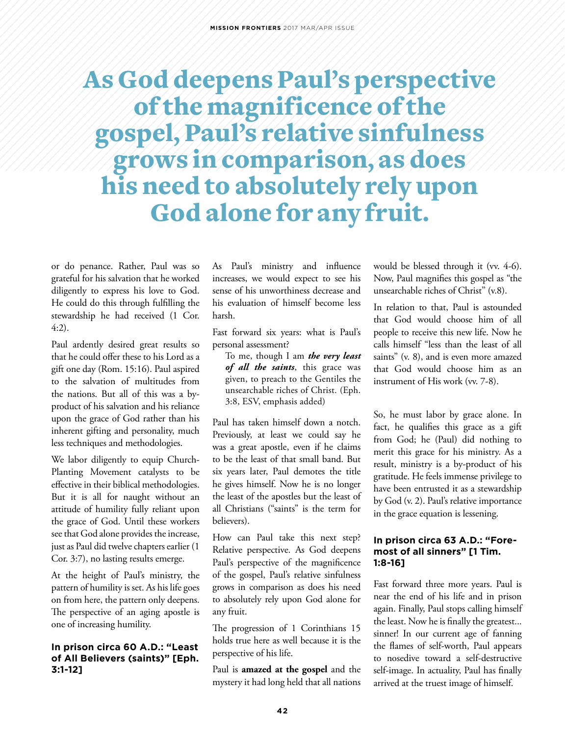## As God deepens Paul's perspective of the magnificence of the gospel, Paul's relative sinfulness grows in comparison, as does his need to absolutely rely upon God alone for any fruit.

or do penance. Rather, Paul was so grateful for his salvation that he worked diligently to express his love to God. He could do this through fulfilling the stewardship he had received (1 Cor. 4:2).

Paul ardently desired great results so that he could offer these to his Lord as a gift one day (Rom. 15:16). Paul aspired to the salvation of multitudes from the nations. But all of this was a byproduct of his salvation and his reliance upon the grace of God rather than his inherent gifting and personality, much less techniques and methodologies.

We labor diligently to equip Church-Planting Movement catalysts to be effective in their biblical methodologies. But it is all for naught without an attitude of humility fully reliant upon the grace of God. Until these workers see that God alone provides the increase, just as Paul did twelve chapters earlier (1 Cor. 3:7), no lasting results emerge.

At the height of Paul's ministry, the pattern of humility is set. As his life goes on from here, the pattern only deepens. The perspective of an aging apostle is one of increasing humility.

### **In prison circa 60 A.D.: "Least of All Believers (saints)" [Eph. 3:1-12]**

As Paul's ministry and influence increases, we would expect to see his sense of his unworthiness decrease and his evaluation of himself become less harsh.

Fast forward six years: what is Paul's personal assessment?

To me, though I am *the very least of all the saints*, this grace was given, to preach to the Gentiles the unsearchable riches of Christ. (Eph. 3:8, ESV, emphasis added)

Paul has taken himself down a notch. Previously, at least we could say he was a great apostle, even if he claims to be the least of that small band. But six years later, Paul demotes the title he gives himself. Now he is no longer the least of the apostles but the least of all Christians ("saints" is the term for believers).

How can Paul take this next step? Relative perspective. As God deepens Paul's perspective of the magnificence of the gospel, Paul's relative sinfulness grows in comparison as does his need to absolutely rely upon God alone for any fruit.

The progression of 1 Corinthians 15 holds true here as well because it is the perspective of his life.

Paul is **amazed at the gospel** and the mystery it had long held that all nations would be blessed through it (vv. 4-6). Now, Paul magnifies this gospel as "the unsearchable riches of Christ" (v.8).

In relation to that, Paul is astounded that God would choose him of all people to receive this new life. Now he calls himself "less than the least of all saints" (v. 8), and is even more amazed that God would choose him as an instrument of His work (vv. 7-8).

So, he must labor by grace alone. In fact, he qualifies this grace as a gift from God; he (Paul) did nothing to merit this grace for his ministry. As a result, ministry is a by-product of his gratitude. He feels immense privilege to have been entrusted it as a stewardship by God (v. 2). Paul's relative importance in the grace equation is lessening.

#### **In prison circa 63 A.D.: "Foremost of all sinners" [1 Tim. 1:8-16]**

Fast forward three more years. Paul is near the end of his life and in prison again. Finally, Paul stops calling himself the least. Now he is finally the greatest... sinner! In our current age of fanning the flames of self-worth, Paul appears to nosedive toward a self-destructive self-image. In actuality, Paul has finally arrived at the truest image of himself.